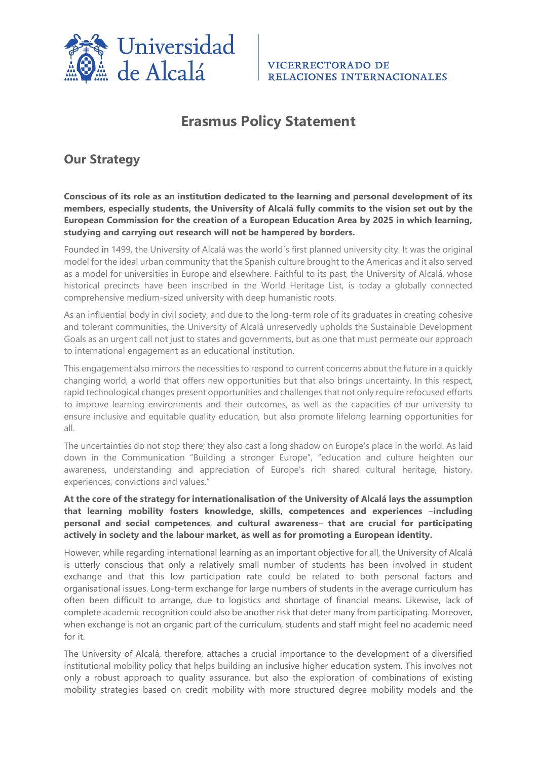

# **Erasmus Policy Statement**

## **Our Strategy**

**Conscious of its role as an institution dedicated to the learning and personal development of its members, especially students, the University of Alcalá fully commits to the vision set out by the European Commission for the creation of a European Education Area by 2025 in which learning, studying and carrying out research will not be hampered by borders.**

Founded in 1499, the University of Alcalá was the world´s first planned university city. It was the original model for the ideal urban community that the Spanish culture brought to the Americas and it also served as a model for universities in Europe and elsewhere. Faithful to its past, the University of Alcalá, whose historical precincts have been inscribed in the World Heritage List, is today a globally connected comprehensive medium-sized university with deep humanistic roots.

As an influential body in civil society, and due to the long-term role of its graduates in creating cohesive and tolerant communities, the University of Alcalá unreservedly upholds the Sustainable Development Goals as an urgent call not just to states and governments, but as one that must permeate our approach to international engagement as an educational institution.

This engagement also mirrors the necessities to respond to current concerns about the future in a quickly changing world, a world that offers new opportunities but that also brings uncertainty. In this respect, rapid technological changes present opportunities and challenges that not only require refocused efforts to improve learning environments and their outcomes, as well as the capacities of our university to ensure inclusive and equitable quality education, but also promote lifelong learning opportunities for all.

The uncertainties do not stop there; they also cast a long shadow on Europe's place in the world. As laid down in the Communication "Building a stronger Europe", "education and culture heighten our awareness, understanding and appreciation of Europe's rich shared cultural heritage, history, experiences, convictions and values."

**At the core of the strategy for internationalisation of the University of Alcalá lays the assumption that learning mobility fosters knowledge, skills, competences and experiences** –**including personal and social competences**, **and cultural awareness**– **that are crucial for participating actively in society and the labour market, as well as for promoting a European identity.**

However, while regarding international learning as an important objective for all, the University of Alcalá is utterly conscious that only a relatively small number of students has been involved in student exchange and that this low participation rate could be related to both personal factors and organisational issues. Long-term exchange for large numbers of students in the average curriculum has often been difficult to arrange, due to logistics and shortage of financial means. Likewise, lack of complete academic recognition could also be another risk that deter many from participating. Moreover, when exchange is not an organic part of the curriculum, students and staff might feel no academic need for it.

The University of Alcalá, therefore, attaches a crucial importance to the development of a diversified institutional mobility policy that helps building an inclusive higher education system. This involves not only a robust approach to quality assurance, but also the exploration of combinations of existing mobility strategies based on credit mobility with more structured degree mobility models and the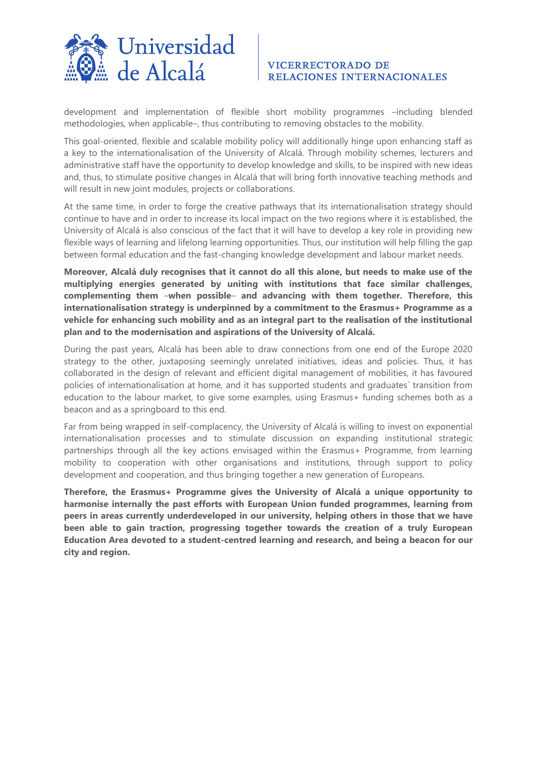

### **VICERRECTORADO DE** RELACIONES INTERNACIONALES

development and implementation of flexible short mobility programmes –including blended methodologies, when applicable–, thus contributing to removing obstacles to the mobility.

This goal-oriented, flexible and scalable mobility policy will additionally hinge upon enhancing staff as a key to the internationalisation of the University of Alcalá. Through mobility schemes, lecturers and administrative staff have the opportunity to develop knowledge and skills, to be inspired with new ideas and, thus, to stimulate positive changes in Alcalá that will bring forth innovative teaching methods and will result in new joint modules, projects or collaborations.

At the same time, in order to forge the creative pathways that its internationalisation strategy should continue to have and in order to increase its local impact on the two regions where it is established, the University of Alcalá is also conscious of the fact that it will have to develop a key role in providing new flexible ways of learning and lifelong learning opportunities. Thus, our institution will help filling the gap between formal education and the fast-changing knowledge development and labour market needs.

**Moreover, Alcalá duly recognises that it cannot do all this alone, but needs to make use of the multiplying energies generated by uniting with institutions that face similar challenges, complementing them** –**when possible**– **and advancing with them together. Therefore, this internationalisation strategy is underpinned by a commitment to the Erasmus+ Programme as a vehicle for enhancing such mobility and as an integral part to the realisation of the institutional plan and to the modernisation and aspirations of the University of Alcalá.**

During the past years, Alcalá has been able to draw connections from one end of the Europe 2020 strategy to the other, juxtaposing seemingly unrelated initiatives, ideas and policies. Thus, it has collaborated in the design of relevant and efficient digital management of mobilities, it has favoured policies of internationalisation at home, and it has supported students and graduates´ transition from education to the labour market, to give some examples, using Erasmus+ funding schemes both as a beacon and as a springboard to this end.

Far from being wrapped in self-complacency, the University of Alcalá is willing to invest on exponential internationalisation processes and to stimulate discussion on expanding institutional strategic partnerships through all the key actions envisaged within the Erasmus+ Programme, from learning mobility to cooperation with other organisations and institutions, through support to policy development and cooperation, and thus bringing together a new generation of Europeans.

**Therefore, the Erasmus+ Programme gives the University of Alcalá a unique opportunity to harmonise internally the past efforts with European Union funded programmes, learning from peers in areas currently underdeveloped in our university, helping others in those that we have been able to gain traction, progressing together towards the creation of a truly European Education Area devoted to a student-centred learning and research, and being a beacon for our city and region.**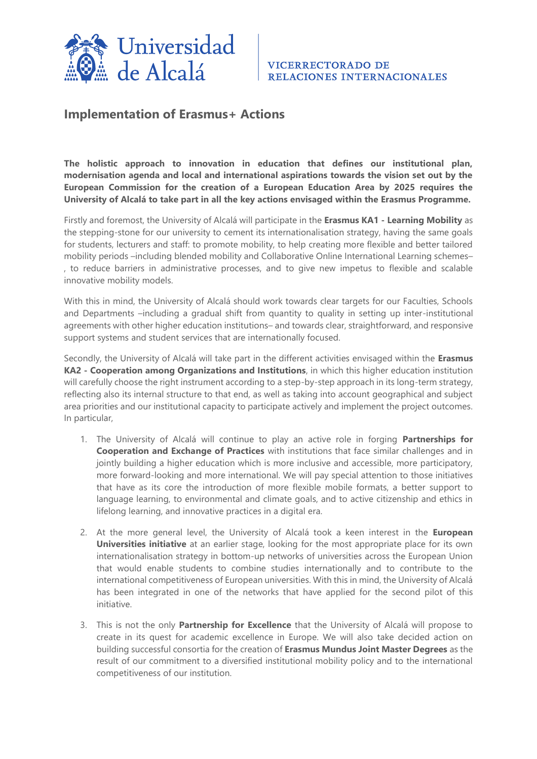

### **Implementation of Erasmus+ Actions**

**The holistic approach to innovation in education that defines our institutional plan, modernisation agenda and local and international aspirations towards the vision set out by the European Commission for the creation of a European Education Area by 2025 requires the University of Alcalá to take part in all the key actions envisaged within the Erasmus Programme.**

Firstly and foremost, the University of Alcalá will participate in the **Erasmus KA1 - Learning Mobility** as the stepping-stone for our university to cement its internationalisation strategy, having the same goals for students, lecturers and staff: to promote mobility, to help creating more flexible and better tailored mobility periods –including blended mobility and Collaborative Online International Learning schemes– , to reduce barriers in administrative processes, and to give new impetus to flexible and scalable innovative mobility models.

With this in mind, the University of Alcalá should work towards clear targets for our Faculties, Schools and Departments –including a gradual shift from quantity to quality in setting up inter-institutional agreements with other higher education institutions– and towards clear, straightforward, and responsive support systems and student services that are internationally focused.

Secondly, the University of Alcalá will take part in the different activities envisaged within the **Erasmus KA2 - Cooperation among Organizations and Institutions**, in which this higher education institution will carefully choose the right instrument according to a step-by-step approach in its long-term strategy, reflecting also its internal structure to that end, as well as taking into account geographical and subject area priorities and our institutional capacity to participate actively and implement the project outcomes. In particular,

- 1. The University of Alcalá will continue to play an active role in forging **Partnerships for Cooperation and Exchange of Practices** with institutions that face similar challenges and in jointly building a higher education which is more inclusive and accessible, more participatory, more forward-looking and more international. We will pay special attention to those initiatives that have as its core the introduction of more flexible mobile formats, a better support to language learning, to environmental and climate goals, and to active citizenship and ethics in lifelong learning, and innovative practices in a digital era.
- 2. At the more general level, the University of Alcalá took a keen interest in the **European Universities initiative** at an earlier stage, looking for the most appropriate place for its own internationalisation strategy in bottom-up networks of universities across the European Union that would enable students to combine studies internationally and to contribute to the international competitiveness of European universities. With this in mind, the University of Alcalá has been integrated in one of the networks that have applied for the second pilot of this initiative.
- 3. This is not the only **Partnership for Excellence** that the University of Alcalá will propose to create in its quest for academic excellence in Europe. We will also take decided action on building successful consortia for the creation of **Erasmus Mundus Joint Master Degrees** as the result of our commitment to a diversified institutional mobility policy and to the international competitiveness of our institution.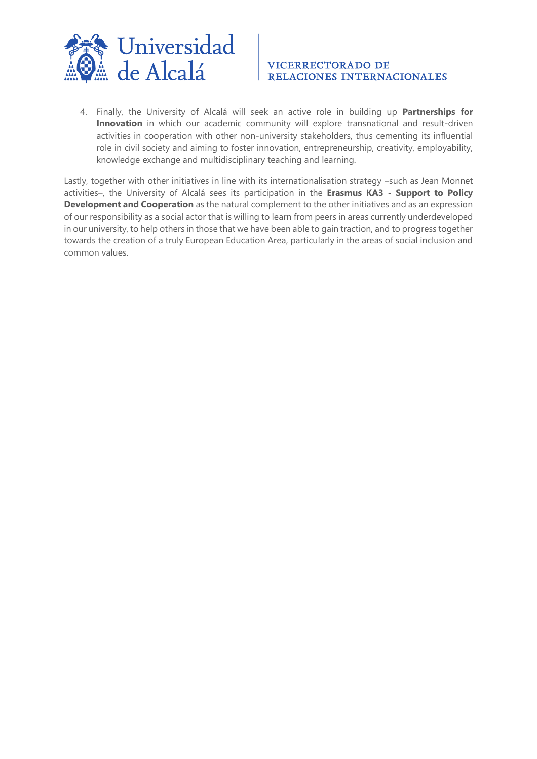

### **VICERRECTORADO DE** RELACIONES INTERNACIONALES

4. Finally, the University of Alcalá will seek an active role in building up **Partnerships for Innovation** in which our academic community will explore transnational and result-driven activities in cooperation with other non-university stakeholders, thus cementing its influential role in civil society and aiming to foster innovation, entrepreneurship, creativity, employability, knowledge exchange and multidisciplinary teaching and learning.

Lastly, together with other initiatives in line with its internationalisation strategy –such as Jean Monnet activities–, the University of Alcalá sees its participation in the **Erasmus KA3 - Support to Policy Development and Cooperation** as the natural complement to the other initiatives and as an expression of our responsibility as a social actor that is willing to learn from peers in areas currently underdeveloped in our university, to help others in those that we have been able to gain traction, and to progress together towards the creation of a truly European Education Area, particularly in the areas of social inclusion and common values.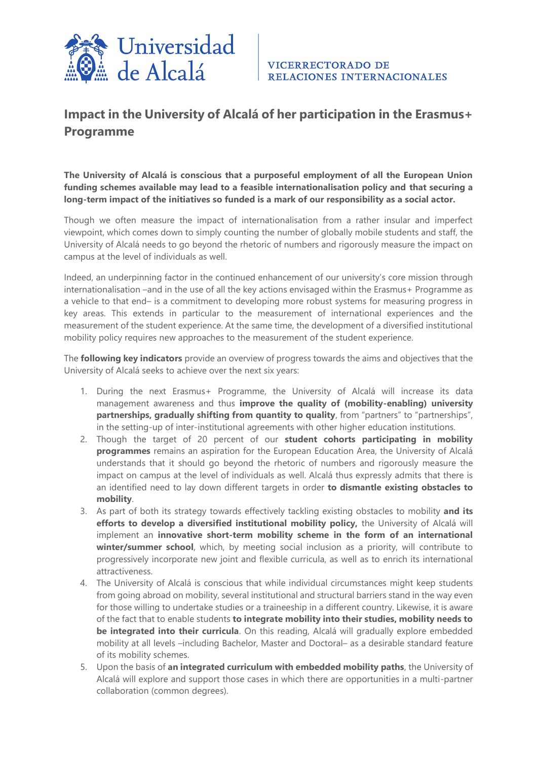

# **Impact in the University of Alcalá of her participation in the Erasmus+ Programme**

**The University of Alcalá is conscious that a purposeful employment of all the European Union funding schemes available may lead to a feasible internationalisation policy and that securing a long-term impact of the initiatives so funded is a mark of our responsibility as a social actor.**

Though we often measure the impact of internationalisation from a rather insular and imperfect viewpoint, which comes down to simply counting the number of globally mobile students and staff, the University of Alcalá needs to go beyond the rhetoric of numbers and rigorously measure the impact on campus at the level of individuals as well.

Indeed, an underpinning factor in the continued enhancement of our university's core mission through internationalisation –and in the use of all the key actions envisaged within the Erasmus+ Programme as a vehicle to that end– is a commitment to developing more robust systems for measuring progress in key areas. This extends in particular to the measurement of international experiences and the measurement of the student experience. At the same time, the development of a diversified institutional mobility policy requires new approaches to the measurement of the student experience.

The **following key indicators** provide an overview of progress towards the aims and objectives that the University of Alcalá seeks to achieve over the next six years:

- 1. During the next Erasmus+ Programme, the University of Alcalá will increase its data management awareness and thus **improve the quality of (mobility-enabling) university partnerships, gradually shifting from quantity to quality**, from "partners" to "partnerships", in the setting-up of inter-institutional agreements with other higher education institutions.
- 2. Though the target of 20 percent of our **student cohorts participating in mobility programmes** remains an aspiration for the European Education Area, the University of Alcalá understands that it should go beyond the rhetoric of numbers and rigorously measure the impact on campus at the level of individuals as well. Alcalá thus expressly admits that there is an identified need to lay down different targets in order **to dismantle existing obstacles to mobility**.
- 3. As part of both its strategy towards effectively tackling existing obstacles to mobility **and its efforts to develop a diversified institutional mobility policy,** the University of Alcalá will implement an **innovative short-term mobility scheme in the form of an international winter/summer school**, which, by meeting social inclusion as a priority, will contribute to progressively incorporate new joint and flexible curricula, as well as to enrich its international attractiveness.
- 4. The University of Alcalá is conscious that while individual circumstances might keep students from going abroad on mobility, several institutional and structural barriers stand in the way even for those willing to undertake studies or a traineeship in a different country. Likewise, it is aware of the fact that to enable students **to integrate mobility into their studies, mobility needs to be integrated into their curricula**. On this reading, Alcalá will gradually explore embedded mobility at all levels –including Bachelor, Master and Doctoral– as a desirable standard feature of its mobility schemes.
- 5. Upon the basis of **an integrated curriculum with embedded mobility paths**, the University of Alcalá will explore and support those cases in which there are opportunities in a multi-partner collaboration (common degrees).